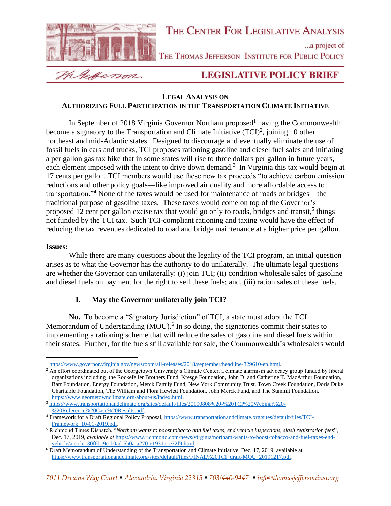

# THE CENTER FOR LEGISLATIVE ANALYSIS

...a project of

THE THOMAS JEFFERSON INSTITUTE FOR PUBLIC POLICY

Wessenm

# **LEGISLATIVE POLICY BRIEF**

### **LEGAL ANALYSIS ON AUTHORIZING FULL PARTICIPATION IN THE TRANSPORTATION CLIMATE INITIATIVE**

In September of 2018 Virginia Governor Northam proposed<sup>1</sup> having the Commonwealth become a signatory to the Transportation and Climate Initiative  $(TCI)^2$ , joining 10 other northeast and mid-Atlantic states. Designed to discourage and eventually eliminate the use of fossil fuels in cars and trucks, TCI proposes rationing gasoline and diesel fuel sales and initiating a per gallon gas tax hike that in some states will rise to three dollars per gallon in future years, each element imposed with the intent to drive down demand.<sup>3</sup> In Virginia this tax would begin at 17 cents per gallon. TCI members would use these new tax proceeds "to achieve carbon emission reductions and other policy goals—like improved air quality and more affordable access to transportation."<sup>4</sup> None of the taxes would be used for maintenance of roads or bridges – the traditional purpose of gasoline taxes. These taxes would come on top of the Governor's proposed 12 cent per gallon excise tax that would go only to roads, bridges and transit,<sup>5</sup> things not funded by the TCI tax. Such TCI-compliant rationing and taxing would have the effect of reducing the tax revenues dedicated to road and bridge maintenance at a higher price per gallon.

## **Issues:**

While there are many questions about the legality of the TCI program, an initial question arises as to what the Governor has the authority to do unilaterally. The ultimate legal questions are whether the Governor can unilaterally: (i) join TCI; (ii) condition wholesale sales of gasoline and diesel fuels on payment for the right to sell these fuels; and, (iii) ration sales of these fuels.

# **I. May the Governor unilaterally join TCI?**

**No.** To become a "Signatory Jurisdiction" of TCI, a state must adopt the TCI Memorandum of Understanding (MOU).<sup>6</sup> In so doing, the signatories commit their states to implementing a rationing scheme that will reduce the sales of gasoline and diesel fuels within their states. Further, for the fuels still available for sale, the Commonwealth's wholesalers would

# *7011 Dreams Way Court* ▪ *Alexandria, Virginia 22315* ▪ *703/440-9447* ▪ *info@thomasjeffersoninst.org*

<sup>1</sup> [https://www.governor.virginia.gov/newsroom/all-releases/2018/september/headline-829610-en.html.](https://www.governor.virginia.gov/newsroom/all-releases/2018/september/headline-829610-en.html)

<sup>&</sup>lt;sup>2</sup> An effort coordinated out of the Georgetown University's Climate Center, a climate alarmism advocacy group funded by liberal organizations including the Rockefeller Brothers Fund, Kresge Foundation, John D. and Catherine T. MacArthur Foundation, Barr Foundation, Energy Foundation, Merck Family Fund, New York Community Trust, Town Creek Foundation, Doris Duke Charitable Foundation, The William and Flora Hewlett Foundation, John Merck Fund, and The Summit Foundation. [https://www.georgetownclimate.org/about-us/index.html.](https://www.georgetownclimate.org/about-us/index.html)

<sup>3</sup> [https://www.transportationandclimate.org/sites/default/files/20190808%20-%20TCI%20Webinar%20-](https://www.transportationandclimate.org/sites/default/files/20190808%20-%20TCI%20Webinar%20-%20Reference%20Case%20Results.pdf) [%20Reference%20Case%20Results.pdf.](https://www.transportationandclimate.org/sites/default/files/20190808%20-%20TCI%20Webinar%20-%20Reference%20Case%20Results.pdf)

<sup>4</sup> Framework for a Draft Regional Policy Proposal, [https://www.transportationandclimate.org/sites/default/files/TCI-](https://www.transportationandclimate.org/sites/default/files/TCI-Framework_10-01-2019.pdf)[Framework\\_10-01-2019.pdf.](https://www.transportationandclimate.org/sites/default/files/TCI-Framework_10-01-2019.pdf)

<sup>5</sup> Richmond Times Dispatch, "*Northam wants to boost tobacco and fuel taxes, end vehicle inspections, slash registration fees*", Dec. 17, 2019, *available at* [https://www.richmond.com/news/virginia/northam-wants-to-boost-tobacco-and-fuel-taxes-end](https://www.richmond.com/news/virginia/northam-wants-to-boost-tobacco-and-fuel-taxes-end-vehicle/article_30f6bc9c-b0ad-5b0a-a270-e1931a1e72f9.html)[vehicle/article\\_30f6bc9c-b0ad-5b0a-a270-e1931a1e72f9.html.](https://www.richmond.com/news/virginia/northam-wants-to-boost-tobacco-and-fuel-taxes-end-vehicle/article_30f6bc9c-b0ad-5b0a-a270-e1931a1e72f9.html)

<sup>6</sup> Draft Memorandum of Understanding of the Transportation and Climate Initiative, Dec. 17, 2019, available at [https://www.transportationandclimate.org/sites/default/files/FINAL%20TCI\\_draft-MOU\\_20191217.pdf.](https://www.transportationandclimate.org/sites/default/files/FINAL%20TCI_draft-MOU_20191217.pdf)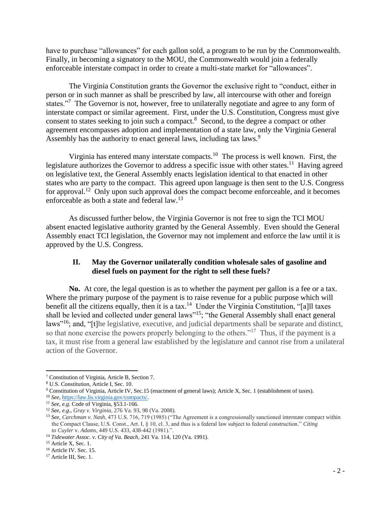have to purchase "allowances" for each gallon sold, a program to be run by the Commonwealth. Finally, in becoming a signatory to the MOU, the Commonwealth would join a federally enforceable interstate compact in order to create a multi-state market for "allowances".

The Virginia Constitution grants the Governor the exclusive right to "conduct, either in person or in such manner as shall be prescribed by law, all intercourse with other and foreign states."<sup>7</sup> The Governor is not, however, free to unilaterally negotiate and agree to any form of interstate compact or similar agreement. First, under the U.S. Constitution, Congress must give consent to states seeking to join such a compact.<sup>8</sup> Second, to the degree a compact or other agreement encompasses adoption and implementation of a state law, only the Virginia General Assembly has the authority to enact general laws, including tax laws.<sup>9</sup>

Virginia has entered many interstate compacts.<sup>10</sup> The process is well known. First, the legislature authorizes the Governor to address a specific issue with other states.<sup>11</sup> Having agreed on legislative text, the General Assembly enacts legislation identical to that enacted in other states who are party to the compact. This agreed upon language is then sent to the U.S. Congress for approval.<sup>12</sup> Only upon such approval does the compact become enforceable, and it becomes enforceable as both a state and federal law.<sup>13</sup>

As discussed further below, the Virginia Governor is not free to sign the TCI MOU absent enacted legislative authority granted by the General Assembly. Even should the General Assembly enact TCI legislation, the Governor may not implement and enforce the law until it is approved by the U.S. Congress.

# **II. May the Governor unilaterally condition wholesale sales of gasoline and diesel fuels on payment for the right to sell these fuels?**

**No.** At core, the legal question is as to whether the payment per gallon is a fee or a tax. Where the primary purpose of the payment is to raise revenue for a public purpose which will benefit all the citizens equally, then it is a tax.<sup>14</sup> Under the Virginia Constitution, "[a]ll taxes shall be levied and collected under general laws"<sup>15</sup>; "the General Assembly shall enact general laws"<sup>16</sup>; and, "[t]he legislative, executive, and judicial departments shall be separate and distinct, so that none exercise the powers properly belonging to the others."<sup>17</sup> Thus, if the payment is a tax, it must rise from a general law established by the legislature and cannot rise from a unilateral action of the Governor.

<sup>7</sup> Constitution of Virginia, Article B, Section 7.

<sup>8</sup> U.S. Constitution, Article I, Sec. 10.

<sup>9</sup> Constitution of Virginia, Article IV, Sec.15 (enactment of general laws); Article X, Sec. 1 (establishment of taxes).

<sup>10</sup> *See*[, https://law.lis.virginia.gov/compacts/.](https://law.lis.virginia.gov/compacts/)

<sup>11</sup> *See*, *e.g.* Code of Virginia, §53.1-166.

<sup>12</sup> *See*, *e.g.*, *Gray v. Virginia*, 276 Va. 93, 98 (Va. 2008).

<sup>13</sup> *See*, *Carchman v. Nash*, 473 U.S. 716, 719 (1985) ("The Agreement is a congressionally sanctioned interstate compact within the Compact Clause, U.S. Const., Art. I, § 10, cl. 3, and thus is a federal law subject to federal construction." *Citing to Cuyler* v. *Adams*, 449 U.S. 433, 438-442 (1981).".

<sup>14</sup> *Tidewater Assoc. v. City of Va. Beach*, 241 Va. 114, 120 (Va. 1991).

<sup>&</sup>lt;sup>15</sup> Article X, Sec. 1.

<sup>&</sup>lt;sup>16</sup> Article IV. Sec. 15.

<sup>&</sup>lt;sup>17</sup> Article III, Sec. 1.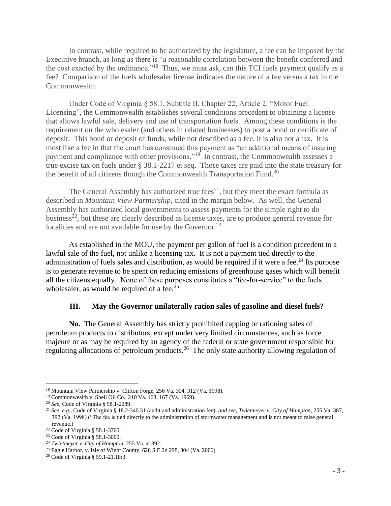In contrast, while required to be authorized by the legislature, a fee can be imposed by the Executive branch, as long as there is "a reasonable correlation between the benefit conferred and the cost exacted by the ordinance."<sup>18</sup> Thus, we must ask, can this TCI fuels payment qualify as a fee? Comparison of the fuels wholesaler license indicates the nature of a fee versus a tax in the Commonwealth.

Under Code of Virginia § 58.1, Subtitle II, Chapter 22, Article 2. "Motor Fuel Licensing", the Commonwealth establishes several conditions precedent to obtaining a license that allows lawful sale, delivery and use of transportation fuels. Among these conditions is the requirement on the wholesaler (and others in related businesses) to post a bond or certificate of deposit. This bond or deposit of funds, while not described as a fee, it is also not a tax. It is most like a fee in that the court has construed this payment as "an additional means of insuring payment and compliance with other provisions."<sup>19</sup> In contrast, the Commonwealth assesses a true excise tax on fuels under § 38.1-2217 et seq. Those taxes are paid into the state treasury for the benefit of all citizens though the Commonwealth Transportation Fund.<sup>20</sup>

The General Assembly has authorized true fees<sup>21</sup>, but they meet the exact formula as described in *Mountain View Partnership*, cited in the margin below. As well, the General Assembly has authorized local governments to assess payments for the simple right to do business<sup>22</sup>, but these are clearly described as license taxes, are to produce general revenue for localities and are not available for use by the Governor.<sup>23</sup>

As established in the MOU, the payment per gallon of fuel is a condition precedent to a lawful sale of the fuel, not unlike a licensing tax. It is not a payment tied directly to the administration of fuels sales and distribution, as would be required if it were a fee.<sup>24</sup> Its purpose is to generate revenue to be spent on reducing emissions of greenhouse gases which will benefit all the citizens equally. None of these purposes constitutes a "fee-for-service" to the fuels wholesaler, as would be required of a fee.<sup>25</sup>

#### **III. May the Governor unilaterally ration sales of gasoline and diesel fuels?**

**No.** The General Assembly has strictly prohibited capping or rationing sales of petroleum products to distributors, except under very limited circumstances, such as force majeure or as may be required by an agency of the federal or state government responsible for regulating allocations of petroleum products.<sup>26</sup> The only state authority allowing regulation of

<sup>&</sup>lt;sup>18</sup> Mountain View Partnership v. Clifton Forge, 256 Va. 304, 312 (Va. 1998).

<sup>19</sup> Commonwealth v. Shell Oil Co., 210 Va. 163, 167 (Va. 1969).

<sup>20</sup> *See*, Code of Virginia § 58.1-2289.

<sup>21</sup> *See, e.g.*, Code of Virginia § 18.2-340.31 (audit and administration fee); *and see*, *Twietmeyer v. City of Hampton*, 255 Va. 387, 392 (Va. 1998) ("The fee is tied directly to the administration of stormwater management and is not meant to raise general revenue.)

<sup>22</sup> Code of Virginia § 58.1-3700.

<sup>23</sup> Code of Virginia § 58.1-3000.

<sup>24</sup> *Twietmeyer v. City of Hampton*, 255 Va. at 392.

<sup>25</sup> Eagle Harbor, v. Isle of Wight County, 628 S.E.2d 298, 304 (Va. 2006).

<sup>26</sup> Code of Virginia § 59.1-21.18:3.